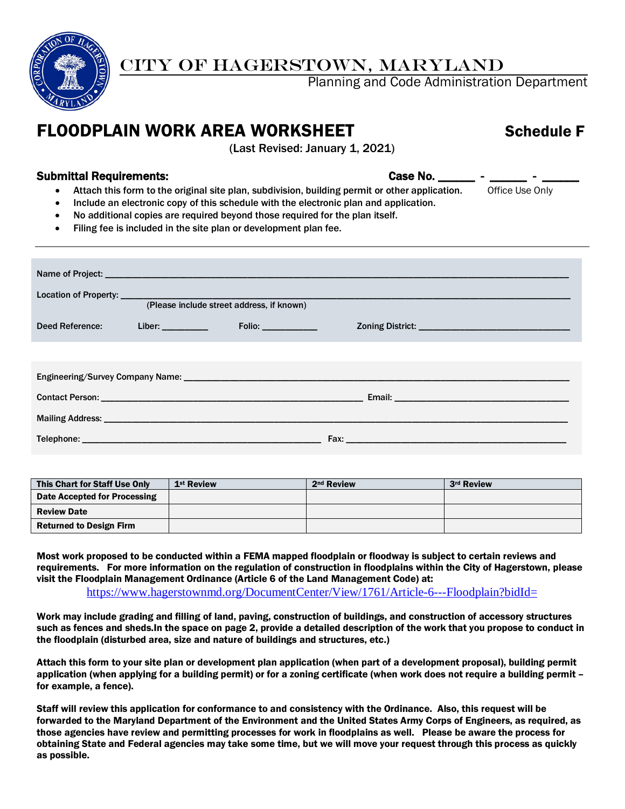

## CITY OF HAGERSTOWN, MARYLAND

Planning and Code Administration Department

# FLOODPLAIN WORK AREA WORKSHEET Schedule F

(Last Revised: January 1, 2021)

## Submittal Requirements: example of the case No. 2008. The Case No. 2008. The case No. 2008. The case No. 2008.

- Attach this form to the original site plan, subdivision, building permit or other application. Office Use Only
- Include an electronic copy of this schedule with the electronic plan and application.
- No additional copies are required beyond those required for the plan itself.
- Filing fee is included in the site plan or development plan fee.

| (Please include street address, if known) |                                    |                                                                                                                                                                                                                                |                                                                                                                                                                                                                                |  |  |  |
|-------------------------------------------|------------------------------------|--------------------------------------------------------------------------------------------------------------------------------------------------------------------------------------------------------------------------------|--------------------------------------------------------------------------------------------------------------------------------------------------------------------------------------------------------------------------------|--|--|--|
| Deed Reference:                           | Liber: Albert Albert Street (1986) |                                                                                                                                                                                                                                |                                                                                                                                                                                                                                |  |  |  |
|                                           |                                    |                                                                                                                                                                                                                                |                                                                                                                                                                                                                                |  |  |  |
|                                           |                                    |                                                                                                                                                                                                                                |                                                                                                                                                                                                                                |  |  |  |
|                                           |                                    |                                                                                                                                                                                                                                |                                                                                                                                                                                                                                |  |  |  |
|                                           |                                    | Mailing Address: National Address: National Address: National Address: National Address: National Address: National Address: National Address: National Address: National Address: National Address: National Address: Nationa |                                                                                                                                                                                                                                |  |  |  |
|                                           |                                    |                                                                                                                                                                                                                                | Fax: The contract of the contract of the contract of the contract of the contract of the contract of the contract of the contract of the contract of the contract of the contract of the contract of the contract of the contr |  |  |  |

| This Chart for Staff Use Only  | 1 <sup>st</sup> Review | 2 <sup>nd</sup> Review | 3rd Review |
|--------------------------------|------------------------|------------------------|------------|
| Date Accepted for Processing   |                        |                        |            |
| <b>Review Date</b>             |                        |                        |            |
| <b>Returned to Design Firm</b> |                        |                        |            |

Most work proposed to be conducted within a FEMA mapped floodplain or floodway is subject to certain reviews and requirements. For more information on the regulation of construction in floodplains within the City of Hagerstown, please visit the Floodplain Management Ordinance (Article 6 of the Land Management Code) at: <https://www.hagerstownmd.org/DocumentCenter/View/1761/Article-6---Floodplain?bidId=>

Work may include grading and filling of land, paving, construction of buildings, and construction of accessory structures such as fences and sheds.In the space on page 2, provide a detailed description of the work that you propose to conduct in the floodplain (disturbed area, size and nature of buildings and structures, etc.)

Attach this form to your site plan or development plan application (when part of a development proposal), building permit application (when applying for a building permit) or for a zoning certificate (when work does not require a building permit – for example, a fence).

Staff will review this application for conformance to and consistency with the Ordinance. Also, this request will be forwarded to the Maryland Department of the Environment and the United States Army Corps of Engineers, as required, as those agencies have review and permitting processes for work in floodplains as well. Please be aware the process for obtaining State and Federal agencies may take some time, but we will move your request through this process as quickly as possible.